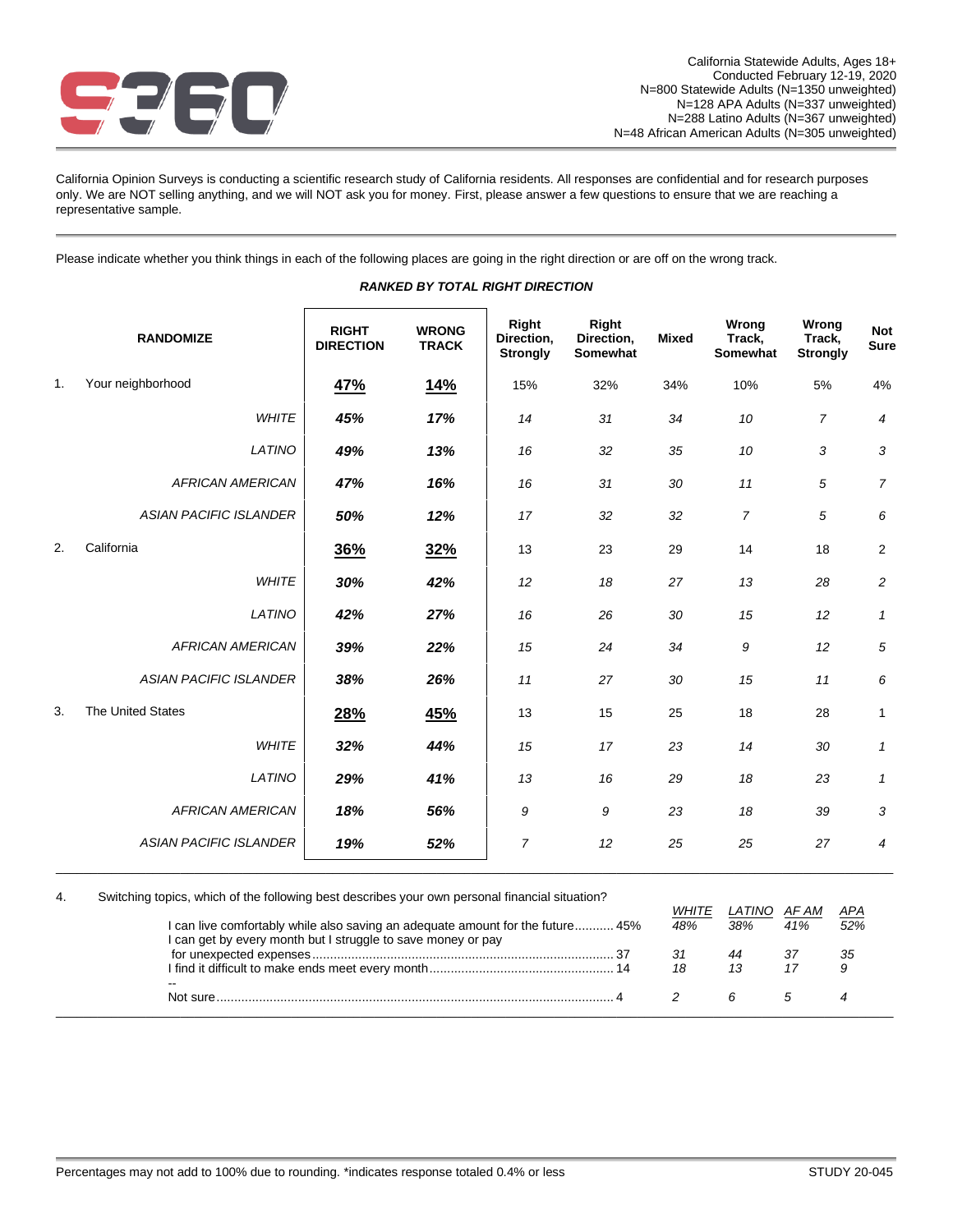

California Opinion Surveys is conducting a scientific research study of California residents. All responses are confidential and for research purposes only. We are NOT selling anything, and we will NOT ask you for money. First, please answer a few questions to ensure that we are reaching a representative sample.

Please indicate whether you think things in each of the following places are going in the right direction or are off on the wrong track.

|    | <b>RANDOMIZE</b>              | <b>RIGHT</b><br><b>DIRECTION</b> | <b>WRONG</b><br><b>TRACK</b> | Right<br>Direction,<br><b>Strongly</b> | Right<br>Direction,<br>Somewhat | <b>Mixed</b> | Wrong<br>Track,<br>Somewhat | Wrong<br>Track,<br><b>Strongly</b> | <b>Not</b><br><b>Sure</b> |
|----|-------------------------------|----------------------------------|------------------------------|----------------------------------------|---------------------------------|--------------|-----------------------------|------------------------------------|---------------------------|
| 1. | Your neighborhood             | 47%                              | <u>14%</u>                   | 15%                                    | 32%                             | 34%          | 10%                         | 5%                                 | 4%                        |
|    | <b>WHITE</b>                  | 45%                              | 17%                          | 14                                     | 31                              | 34           | 10                          | $\overline{7}$                     | 4                         |
|    | LATINO                        | 49%                              | 13%                          | 16                                     | 32                              | 35           | 10                          | 3                                  | 3                         |
|    | <b>AFRICAN AMERICAN</b>       | 47%                              | 16%                          | 16                                     | 31                              | 30           | 11                          | 5                                  | $\overline{7}$            |
|    | <b>ASIAN PACIFIC ISLANDER</b> | 50%                              | 12%                          | 17                                     | 32                              | 32           | $\overline{7}$              | 5                                  | 6                         |
| 2. | California                    | 36%                              | 32%                          | 13                                     | 23                              | 29           | 14                          | 18                                 | $\overline{2}$            |
|    | <b>WHITE</b>                  | 30%                              | 42%                          | 12                                     | 18                              | 27           | 13                          | 28                                 | $\overline{c}$            |
|    | LATINO                        | 42%                              | 27%                          | 16                                     | 26                              | 30           | 15                          | 12                                 | $\mathbf{1}$              |
|    | <b>AFRICAN AMERICAN</b>       | 39%                              | 22%                          | 15                                     | 24                              | 34           | 9                           | 12                                 | 5                         |
|    | <b>ASIAN PACIFIC ISLANDER</b> | 38%                              | 26%                          | 11                                     | 27                              | 30           | 15                          | 11                                 | 6                         |
| 3. | <b>The United States</b>      | 28%                              | 45%                          | 13                                     | 15                              | 25           | 18                          | 28                                 | 1                         |
|    | <b>WHITE</b>                  | 32%                              | 44%                          | 15                                     | 17                              | 23           | 14                          | 30                                 | $\mathbf{1}$              |
|    | LATINO                        | 29%                              | 41%                          | 13                                     | 16                              | 29           | 18                          | 23                                 | $\mathbf{1}$              |
|    | <b>AFRICAN AMERICAN</b>       | 18%                              | 56%                          | 9                                      | 9                               | 23           | 18                          | 39                                 | 3                         |
|    | <b>ASIAN PACIFIC ISLANDER</b> | 19%                              | 52%                          | $\overline{7}$                         | 12                              | 25           | 25                          | 27                                 | $\overline{4}$            |

### *RANKED BY TOTAL RIGHT DIRECTION*

| 4. | Switching topics, which of the following best describes your own personal financial situation? |       |        |       |     |
|----|------------------------------------------------------------------------------------------------|-------|--------|-------|-----|
|    |                                                                                                | WHITE | LATINO | AF AM | APA |
|    | I can live comfortably while also saving an adequate amount for the future 45%                 | 48%   | 38%    | 41%   | 52% |
|    | I can get by every month but I struggle to save money or pay                                   |       |        |       |     |
|    |                                                                                                |       |        |       | -35 |
|    |                                                                                                | 18    |        |       |     |
|    | --                                                                                             |       |        |       |     |
|    |                                                                                                |       |        |       |     |
|    |                                                                                                |       |        |       |     |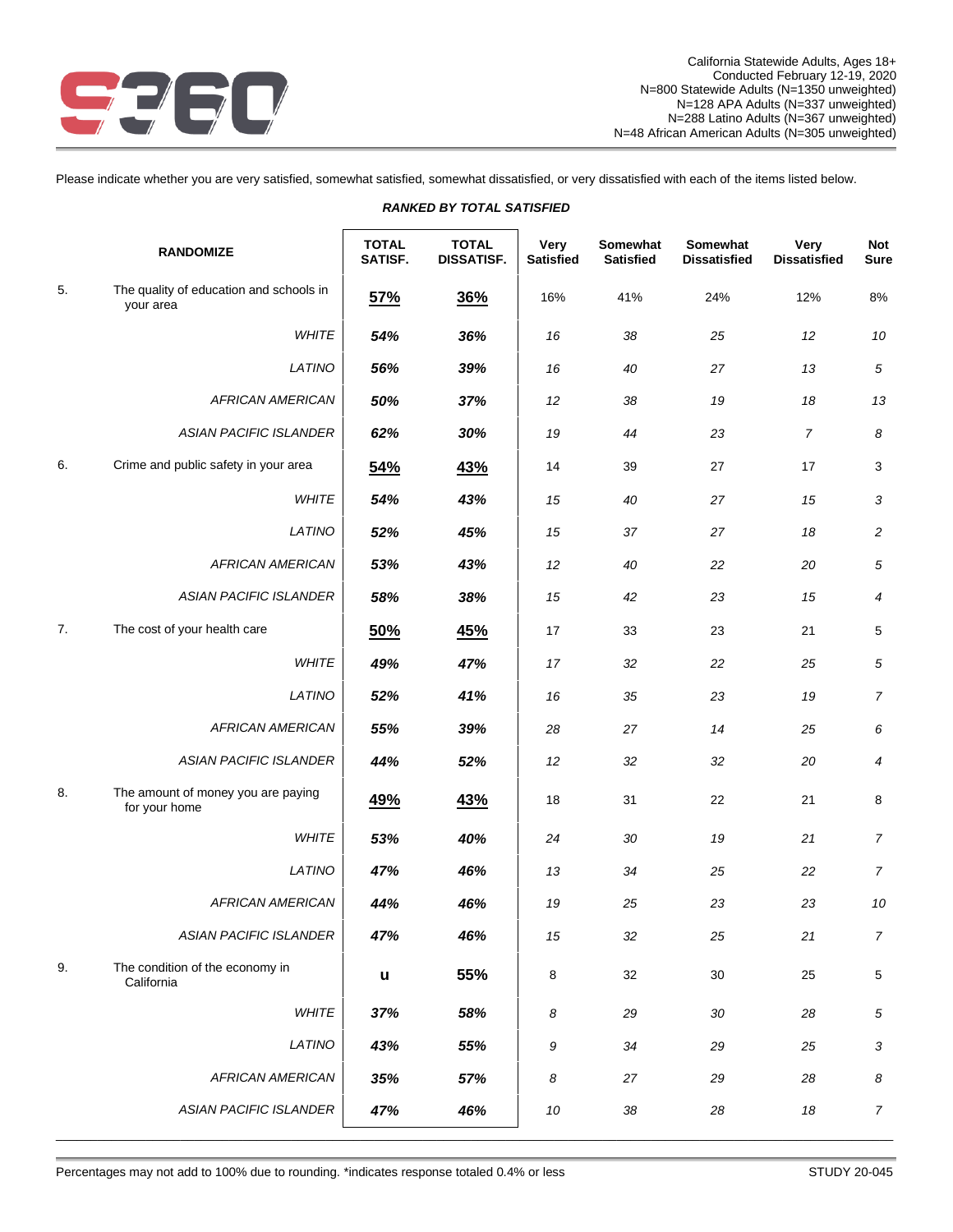

Please indicate whether you are very satisfied, somewhat satisfied, somewhat dissatisfied, or very dissatisfied with each of the items listed below.

|    | <b>RANDOMIZE</b>                                     | <b>TOTAL</b><br>SATISF. | <b>TOTAL</b><br><b>DISSATISF.</b> | Very<br><b>Satisfied</b> | Somewhat<br><b>Satisfied</b> | Somewhat<br><b>Dissatisfied</b> | Very<br><b>Dissatisfied</b> | Not<br><b>Sure</b> |
|----|------------------------------------------------------|-------------------------|-----------------------------------|--------------------------|------------------------------|---------------------------------|-----------------------------|--------------------|
| 5. | The quality of education and schools in<br>your area | 57%                     | 36%                               | 16%                      | 41%                          | 24%                             | 12%                         | 8%                 |
|    | WHITE                                                | 54%                     | 36%                               | 16                       | 38                           | 25                              | 12                          | 10                 |
|    | LATINO                                               | 56%                     | 39%                               | 16                       | 40                           | 27                              | 13                          | $\sqrt{5}$         |
|    | <b>AFRICAN AMERICAN</b>                              | 50%                     | 37%                               | 12                       | 38                           | 19                              | 18                          | 13                 |
|    | <b>ASIAN PACIFIC ISLANDER</b>                        | 62%                     | 30%                               | 19                       | 44                           | 23                              | $\overline{7}$              | 8                  |
| 6. | Crime and public safety in your area                 | 54%                     | <u>43%</u>                        | 14                       | 39                           | 27                              | 17                          | 3                  |
|    | <b>WHITE</b>                                         | 54%                     | 43%                               | 15                       | 40                           | 27                              | 15                          | 3                  |
|    | LATINO                                               | 52%                     | 45%                               | 15                       | 37                           | 27                              | 18                          | $\overline{c}$     |
|    | <b>AFRICAN AMERICAN</b>                              | 53%                     | 43%                               | 12                       | 40                           | 22                              | 20                          | 5                  |
|    | <b>ASIAN PACIFIC ISLANDER</b>                        | 58%                     | 38%                               | 15                       | 42                           | 23                              | 15                          | 4                  |
| 7. | The cost of your health care                         | 50%                     | 45%                               | 17                       | 33                           | 23                              | 21                          | 5                  |
|    | <b>WHITE</b>                                         | 49%                     | 47%                               | 17                       | 32                           | 22                              | 25                          | 5                  |
|    | LATINO                                               | 52%                     | 41%                               | 16                       | 35                           | 23                              | 19                          | $\overline{7}$     |
|    | <b>AFRICAN AMERICAN</b>                              | 55%                     | 39%                               | 28                       | 27                           | 14                              | 25                          | 6                  |
|    | <b>ASIAN PACIFIC ISLANDER</b>                        | 44%                     | 52%                               | 12                       | 32                           | 32                              | 20                          | 4                  |
| 8. | The amount of money you are paying<br>for your home  | 49%                     | 43%                               | 18                       | 31                           | 22                              | 21                          | 8                  |
|    | <b>WHITE</b>                                         | 53%                     | 40%                               | 24                       | 30                           | 19                              | 21                          | $\overline{7}$     |
|    | LATINO                                               | 47%                     | 46%                               | 13                       | 34                           | 25                              | 22                          | $\overline{7}$     |
|    | <b>AFRICAN AMERICAN</b>                              | 44%                     | 46%                               | 19                       | 25                           | 23                              | 23                          | 10                 |
|    | <b>ASIAN PACIFIC ISLANDER</b>                        | 47%                     | 46%                               | 15                       | 32                           | 25                              | 21                          | $\overline{7}$     |
| 9. | The condition of the economy in<br>California        | $\mathbf{u}$            | 55%                               | 8                        | 32                           | 30                              | 25                          | $\,$ 5 $\,$        |
|    | WHITE                                                | 37%                     | 58%                               | 8                        | 29                           | 30                              | 28                          | $\sqrt{5}$         |
|    | LATINO                                               | 43%                     | 55%                               | 9                        | 34                           | 29                              | 25                          | $\mathfrak{3}$     |
|    | <b>AFRICAN AMERICAN</b>                              | 35%                     | 57%                               | 8                        | 27                           | 29                              | 28                          | 8                  |
|    | <b>ASIAN PACIFIC ISLANDER</b>                        | 47%                     | 46%                               | $10\,$                   | $38\,$                       | 28                              | $18\,$                      | $\overline{7}$     |

*RANKED BY TOTAL SATISFIED*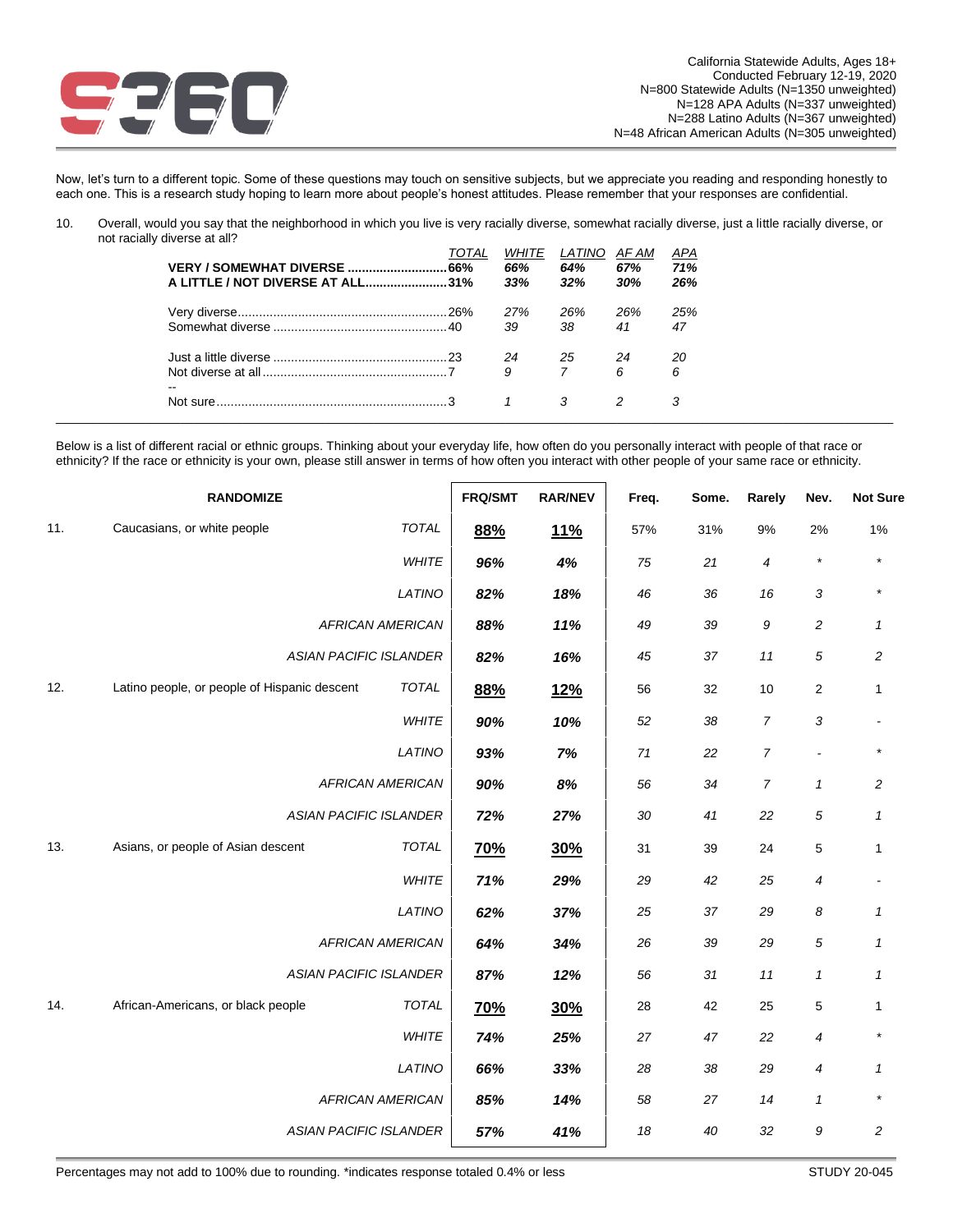

Now, let's turn to a different topic. Some of these questions may touch on sensitive subjects, but we appreciate you reading and responding honestly to each one. This is a research study hoping to learn more about people's honest attitudes. Please remember that your responses are confidential.

10. Overall, would you say that the neighborhood in which you live is very racially diverse, somewhat racially diverse, just a little racially diverse, or not racially diverse at all?

| A LITTLE / NOT DIVERSE AT ALL31% | IOIAL | <i>WHITE</i><br>66%<br>33% | LATINO<br>64%<br>32% | AF AM<br>67%<br>30% | <u>APA</u><br>71%<br>26% |
|----------------------------------|-------|----------------------------|----------------------|---------------------|--------------------------|
|                                  |       | 27%                        | 26%                  | 26%                 | 25%                      |
|                                  |       | 39                         | 38                   | 41                  | 47                       |
|                                  |       | 24<br>25                   |                      | 24                  | 20                       |
| $- -$                            |       | 9                          | $\overline{7}$       | 6                   | 6                        |
|                                  |       |                            | 3                    |                     |                          |

Below is a list of different racial or ethnic groups. Thinking about your everyday life, how often do you personally interact with people of that race or ethnicity? If the race or ethnicity is your own, please still answer in terms of how often you interact with other people of your same race or ethnicity.

|     | <b>RANDOMIZE</b>                             | FRQ/SMT                 | <b>RAR/NEV</b> | Freq.      | Some. | Rarely | Nev.             | <b>Not Sure</b>     |                |
|-----|----------------------------------------------|-------------------------|----------------|------------|-------|--------|------------------|---------------------|----------------|
| 11. | Caucasians, or white people                  | TOTAL                   | 88%            | <u>11%</u> | 57%   | 31%    | 9%               | 2%                  | 1%             |
|     |                                              | WHITE                   | 96%            | 4%         | 75    | 21     | $\overline{4}$   | $\star$             | $\star$        |
|     |                                              | LATINO                  | 82%            | 18%        | 46    | 36     | 16               | 3                   |                |
|     |                                              | <b>AFRICAN AMERICAN</b> | 88%            | 11%        | 49    | 39     | $\boldsymbol{9}$ | $\overline{c}$      | 1              |
|     | <b>ASIAN PACIFIC ISLANDER</b>                |                         | 82%            | 16%        | 45    | 37     | 11               | 5                   | $\overline{c}$ |
| 12. | Latino people, or people of Hispanic descent | TOTAL                   | 88%            | <u>12%</u> | 56    | 32     | $10$             | $\overline{c}$      | $\mathbf{1}$   |
|     |                                              | WHITE                   | 90%            | 10%        | 52    | 38     | $\overline{7}$   | 3                   |                |
|     |                                              | LATINO                  | 93%            | 7%         | 71    | 22     | $\overline{7}$   | ÷,                  |                |
|     |                                              | <b>AFRICAN AMERICAN</b> | 90%            | 8%         | 56    | 34     | $\overline{7}$   | $\mathbf{1}$        | $\overline{c}$ |
|     | <b>ASIAN PACIFIC ISLANDER</b>                |                         | 72%            | 27%        | 30    | 41     | 22               | 5                   | $\mathbf{1}$   |
| 13. | Asians, or people of Asian descent           | <b>TOTAL</b>            | <u>70%</u>     | 30%        | 31    | 39     | 24               | 5                   | $\mathbf{1}$   |
|     |                                              | WHITE                   | 71%            | 29%        | 29    | 42     | 25               | 4                   |                |
|     |                                              | LATINO                  | 62%            | 37%        | 25    | 37     | 29               | 8                   | 1              |
|     |                                              | <b>AFRICAN AMERICAN</b> | 64%            | 34%        | 26    | 39     | 29               | 5                   | 1              |
|     | <b>ASIAN PACIFIC ISLANDER</b>                |                         | 87%            | 12%        | 56    | 31     | $11$             | $\pmb{\mathcal{1}}$ | $\mathbf{1}$   |
| 14. | African-Americans, or black people           | <b>TOTAL</b>            | 70%            | 30%        | 28    | 42     | 25               | 5                   | 1              |
|     |                                              | <b>WHITE</b>            | 74%            | 25%        | 27    | 47     | 22               | 4                   |                |
|     |                                              | LATINO                  | 66%            | 33%        | 28    | 38     | 29               | 4                   | 1              |
|     |                                              | <b>AFRICAN AMERICAN</b> | 85%            | 14%        | 58    | 27     | 14               | $\mathbf{1}$        |                |
|     | <b>ASIAN PACIFIC ISLANDER</b>                |                         | 57%            | 41%        | 18    | 40     | 32               | 9                   | $\overline{c}$ |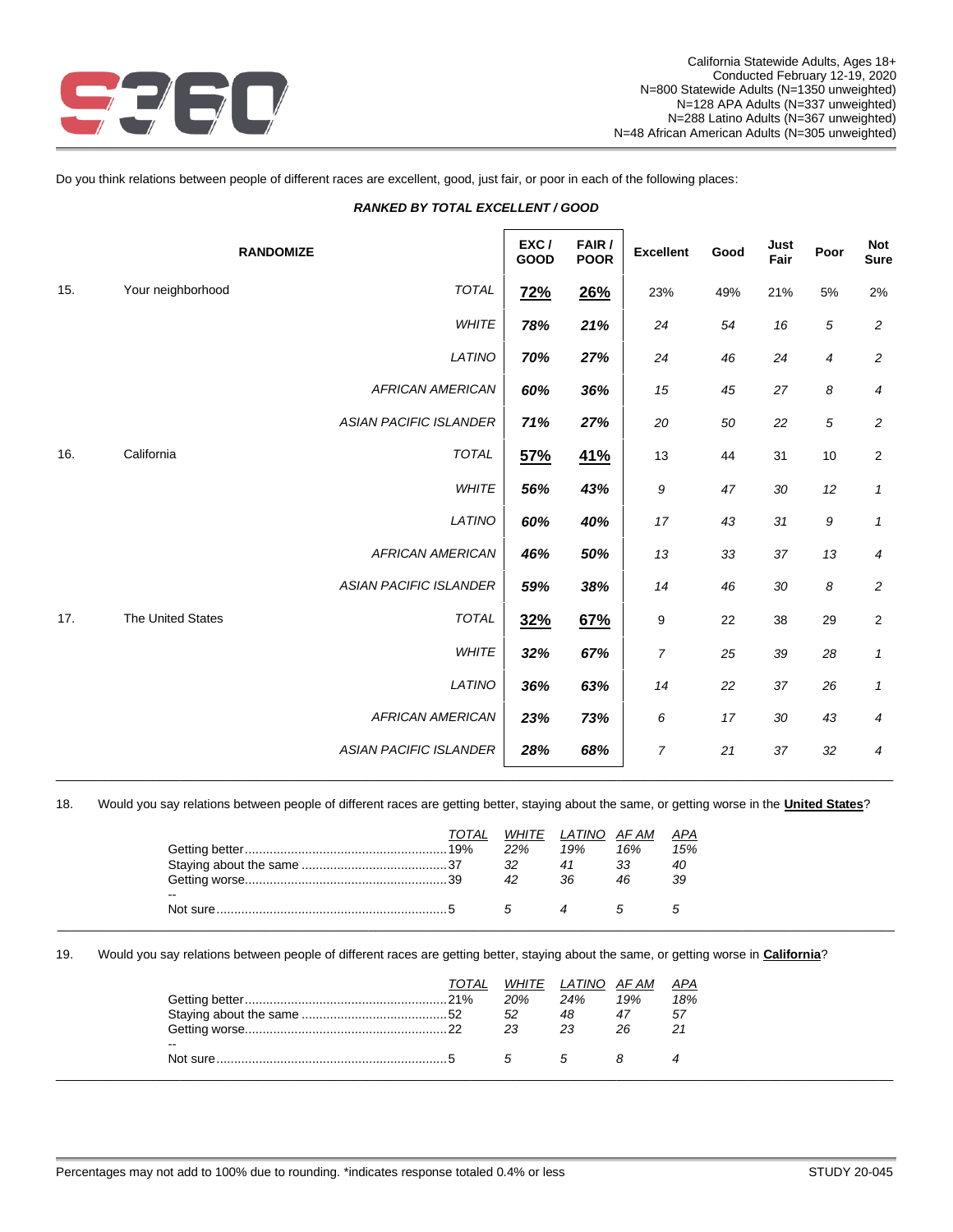

Do you think relations between people of different races are excellent, good, just fair, or poor in each of the following places:

# *RANKED BY TOTAL EXCELLENT / GOOD*

|     |                   | <b>RANDOMIZE</b>              | EXC/<br>GOOD | FAIR /<br><b>POOR</b> | <b>Excellent</b> | Good | Just<br>Fair | Poor           | Not<br><b>Sure</b>      |
|-----|-------------------|-------------------------------|--------------|-----------------------|------------------|------|--------------|----------------|-------------------------|
| 15. | Your neighborhood | <b>TOTAL</b>                  | <b>72%</b>   | <b>26%</b>            | 23%              | 49%  | 21%          | 5%             | 2%                      |
|     |                   | <b>WHITE</b>                  | 78%          | 21%                   | 24               | 54   | 16           | 5              | $\boldsymbol{2}$        |
|     |                   | LATINO                        | 70%          | 27%                   | 24               | 46   | 24           | $\overline{4}$ | $\overline{c}$          |
|     |                   | <b>AFRICAN AMERICAN</b>       | 60%          | 36%                   | 15               | 45   | 27           | 8              | 4                       |
|     |                   | <b>ASIAN PACIFIC ISLANDER</b> | 71%          | 27%                   | 20               | 50   | 22           | 5              | $\overline{c}$          |
| 16. | California        | <b>TOTAL</b>                  | 57%          | <u>41%</u>            | 13               | 44   | 31           | 10             | $\overline{\mathbf{c}}$ |
|     |                   | <b>WHITE</b>                  | 56%          | 43%                   | 9                | 47   | 30           | 12             | 1                       |
|     |                   | LATINO                        | 60%          | 40%                   | 17               | 43   | 31           | 9              | 1                       |
|     |                   | <b>AFRICAN AMERICAN</b>       | 46%          | 50%                   | 13               | 33   | 37           | 13             | $\boldsymbol{4}$        |
|     |                   | <b>ASIAN PACIFIC ISLANDER</b> | 59%          | 38%                   | 14               | 46   | 30           | 8              | $\overline{c}$          |
| 17. | The United States | <b>TOTAL</b>                  | 32%          | 67%                   | 9                | 22   | 38           | 29             | $\boldsymbol{2}$        |
|     |                   | WHITE                         | 32%          | 67%                   | 7                | 25   | 39           | 28             | 1                       |
|     |                   | LATINO                        | 36%          | 63%                   | 14               | 22   | 37           | 26             | 1                       |
|     |                   | <b>AFRICAN AMERICAN</b>       | 23%          | 73%                   | 6                | 17   | 30           | 43             | 4                       |
|     |                   | <b>ASIAN PACIFIC ISLANDER</b> | 28%          | 68%                   | 7                | 21   | 37           | 32             | 4                       |
|     |                   |                               |              |                       |                  |      |              |                |                         |

18. Would you say relations between people of different races are getting better, staying about the same, or getting worse in the **United States**?

| 22%<br>19%<br>16%<br>15% |
|--------------------------|
| 32<br>33<br>40<br>41     |
| 39<br>36<br>46<br>42     |
| $\sim$ $\sim$            |
| $\mathcal{F}$            |

19. Would you say relations between people of different races are getting better, staying about the same, or getting worse in **California**?

|               | TOTAL |     | WHITE LATINO AFAM |     | <u>APA</u> |
|---------------|-------|-----|-------------------|-----|------------|
|               |       | 20% | 24%               | 19% | 18%        |
|               |       | 52  | 48                | 47  | -57        |
|               |       | -23 | 23                | 26  | 21         |
| $\sim$ $\sim$ |       |     |                   |     |            |
|               |       |     | $\overline{a}$    |     |            |
|               |       |     |                   |     |            |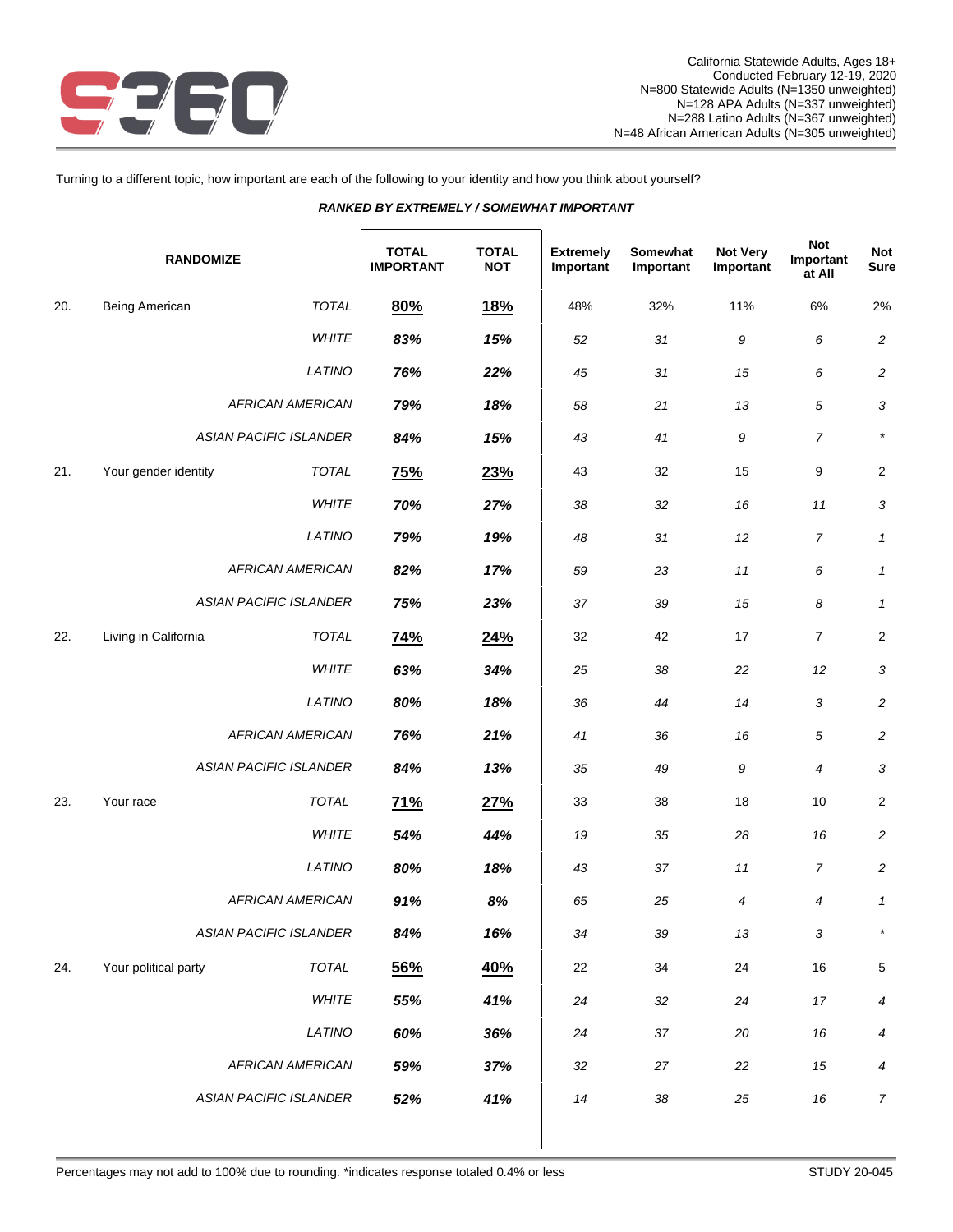

Turning to a different topic, how important are each of the following to your identity and how you think about yourself?

|                  | RANKED BY EXTREMELY / SOMEWHAT IMPORTANT |                               |                                  |                            |                               |                       |                              |                                   |                    |  |  |  |  |
|------------------|------------------------------------------|-------------------------------|----------------------------------|----------------------------|-------------------------------|-----------------------|------------------------------|-----------------------------------|--------------------|--|--|--|--|
| <b>RANDOMIZE</b> |                                          |                               | <b>TOTAL</b><br><b>IMPORTANT</b> | <b>TOTAL</b><br><b>NOT</b> | <b>Extremely</b><br>Important | Somewhat<br>Important | <b>Not Very</b><br>Important | <b>Not</b><br>Important<br>at All | <b>Not</b><br>Sure |  |  |  |  |
| 20.              | <b>Being American</b>                    | <b>TOTAL</b>                  | 80%                              | <b>18%</b>                 | 48%                           | 32%                   | 11%                          | 6%                                | 2%                 |  |  |  |  |
|                  |                                          | WHITE                         | 83%                              | 15%                        | 52                            | 31                    | 9                            | 6                                 | $\overline{c}$     |  |  |  |  |
|                  |                                          | LATINO                        | 76%                              | 22%                        | 45                            | 31                    | 15                           | 6                                 | $\overline{c}$     |  |  |  |  |
|                  |                                          | <b>AFRICAN AMERICAN</b>       | 79%                              | 18%                        | 58                            | 21                    | 13                           | 5                                 | 3                  |  |  |  |  |
|                  |                                          | <b>ASIAN PACIFIC ISLANDER</b> | 84%                              | 15%                        | 43                            | 41                    | 9                            | $\overline{7}$                    |                    |  |  |  |  |
| 21.              | Your gender identity                     | <b>TOTAL</b>                  | 75%                              | 23%                        | 43                            | 32                    | 15                           | 9                                 | $\overline{2}$     |  |  |  |  |
|                  |                                          | 70%                           | 27%                              | 38                         | 32                            | 16                    | 11                           | 3                                 |                    |  |  |  |  |
|                  |                                          | 79%                           | 19%                              | 48                         | 31                            | 12                    | $\overline{7}$               | $\mathbf{1}$                      |                    |  |  |  |  |
|                  | <b>AFRICAN AMERICAN</b>                  | 82%                           | 17%                              | 59                         | 23                            | 11                    | 6                            | $\mathbf{1}$                      |                    |  |  |  |  |
|                  |                                          | <b>ASIAN PACIFIC ISLANDER</b> | 75%                              | 23%                        | 37                            | 39                    | 15                           | 8                                 | $\mathbf{1}$       |  |  |  |  |
| 22.              | Living in California                     | <b>TOTAL</b>                  | 74%                              | 24%                        | 32                            | 42                    | 17                           | 7                                 | $\overline{2}$     |  |  |  |  |
|                  |                                          | <b>WHITE</b>                  | 63%                              | 34%                        | 25                            | 38                    | 22                           | 12                                | 3                  |  |  |  |  |
|                  |                                          | LATINO                        | 80%                              | 18%                        | 36                            | 44                    | 14                           | 3                                 | $\overline{c}$     |  |  |  |  |
|                  |                                          | <b>AFRICAN AMERICAN</b>       |                                  | 21%                        | 41                            | 36                    | 16                           | $\sqrt{5}$                        | $\overline{c}$     |  |  |  |  |
|                  |                                          | <b>ASIAN PACIFIC ISLANDER</b> | 84%                              | 13%                        | 35                            | 49                    | 9                            | 4                                 | 3                  |  |  |  |  |
| 23.              | Your race                                | <b>TOTAL</b>                  | 71%                              | 27%                        | 33                            | 38                    | 18                           | 10                                | $\sqrt{2}$         |  |  |  |  |
|                  |                                          | WHITE                         | 54%                              | 44%                        | 19                            | 35                    | 28                           | 16                                | $\overline{c}$     |  |  |  |  |
|                  |                                          | LATINO                        | 80%                              | 18%                        | 43                            | 37                    | 11                           | $\overline{7}$                    | $\sqrt{2}$         |  |  |  |  |
|                  |                                          | <b>AFRICAN AMERICAN</b>       | 91%                              | $8\%$                      | 65                            | 25                    | 4                            | 4                                 | $\mathbf{1}$       |  |  |  |  |
|                  |                                          | <b>ASIAN PACIFIC ISLANDER</b> | 84%                              | 16%                        | 34                            | 39                    | $13\,$                       | $\sqrt{3}$                        | $\star$            |  |  |  |  |
| 24.              | Your political party                     | TOTAL                         | 56%                              | 40%                        | 22                            | 34                    | 24                           | $16$                              | $\,$ 5 $\,$        |  |  |  |  |
|                  |                                          | WHITE                         | 55%                              | 41%                        | 24                            | 32                    | 24                           | 17                                | 4                  |  |  |  |  |
|                  |                                          | LATINO                        | 60%                              | 36%                        | 24                            | $37\,$                | $20\,$                       | $16\,$                            | 4                  |  |  |  |  |
|                  |                                          | <b>AFRICAN AMERICAN</b>       | 59%                              | 37%                        | $32\,$                        | 27                    | 22                           | $15\,$                            | $\boldsymbol{4}$   |  |  |  |  |

*ASIAN PACIFIC ISLANDER 52% 41% 14 38 25 16 7*

Percentages may not add to 100% due to rounding. \*indicates response totaled 0.4% or less STUDY 20-045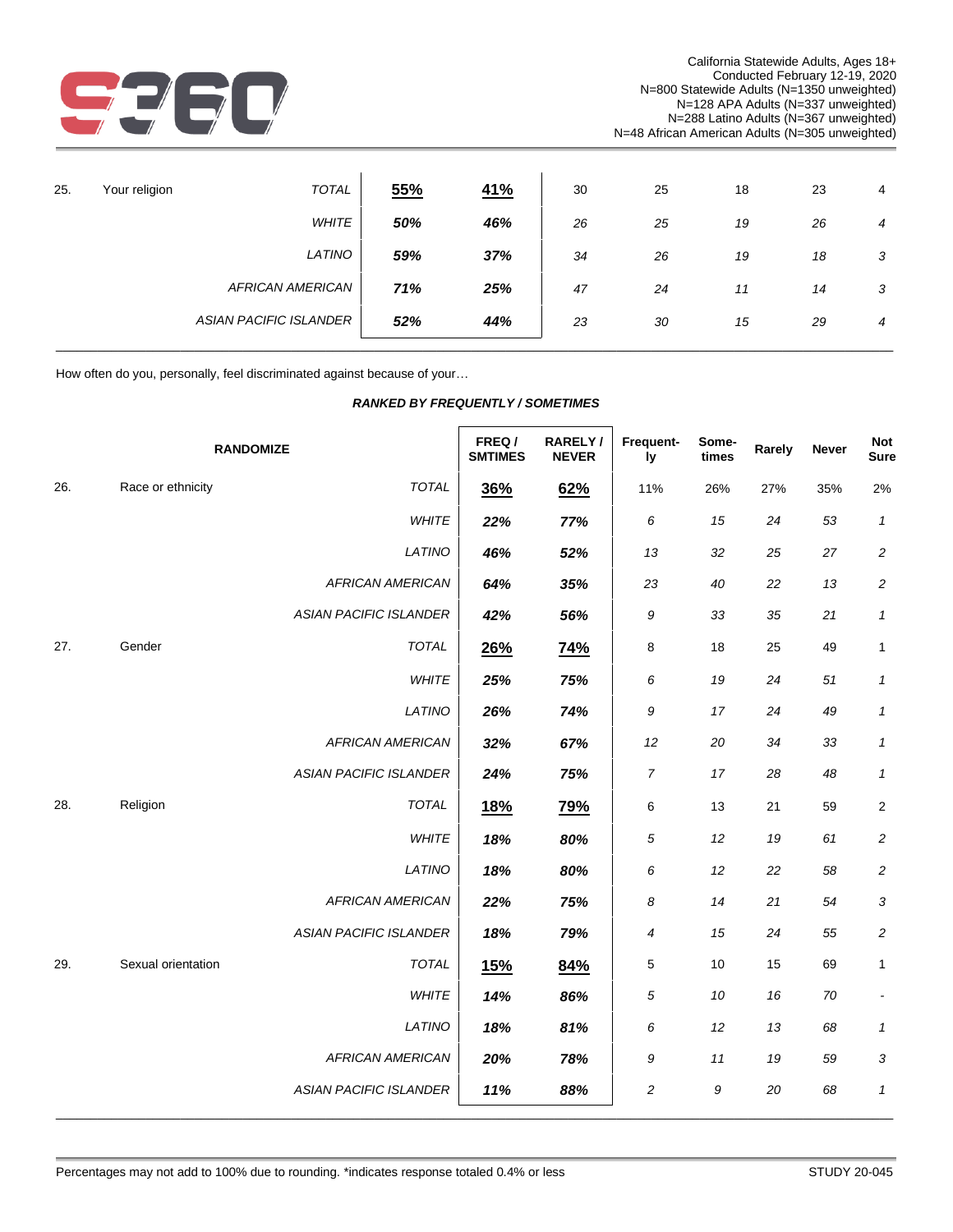

| 25. | Your religion | <b>TOTAL</b>                  | 55% | <u>41%</u> | 30 | 25 | 18 | 23 | 4              |
|-----|---------------|-------------------------------|-----|------------|----|----|----|----|----------------|
|     |               | <b>WHITE</b>                  | 50% | 46%        | 26 | 25 | 19 | 26 | $\overline{4}$ |
|     |               | LATINO                        | 59% | 37%        | 34 | 26 | 19 | 18 | 3              |
|     |               | <b>AFRICAN AMERICAN</b>       | 71% | 25%        | 47 | 24 | 11 | 14 | 3              |
|     |               | <b>ASIAN PACIFIC ISLANDER</b> | 52% | 44%        | 23 | 30 | 15 | 29 | $\overline{4}$ |
|     |               |                               |     |            |    |    |    |    |                |

How often do you, personally, feel discriminated against because of your…

| <b>RANKED BY FREQUENTLY / SOMETIMES</b> |
|-----------------------------------------|
|-----------------------------------------|

|     |                    | <b>RANDOMIZE</b>              | FREQ/<br><b>SMTIMES</b> | RARELY/<br><b>NEVER</b> | Frequent-<br>ly | Some-<br>times | Rarely | <b>Never</b> | <b>Not</b><br><b>Sure</b>  |
|-----|--------------------|-------------------------------|-------------------------|-------------------------|-----------------|----------------|--------|--------------|----------------------------|
| 26. | Race or ethnicity  | <b>TOTAL</b>                  | 36%                     | 62%                     | 11%             | 26%            | 27%    | 35%          | 2%                         |
|     |                    | WHITE                         | 22%                     | 77%                     | 6               | 15             | 24     | 53           | $\mathbf{1}$               |
|     |                    | LATINO                        | 46%                     | 52%                     | 13              | 32             | 25     | 27           | $\overline{c}$             |
|     |                    | <b>AFRICAN AMERICAN</b>       | 64%                     | 35%                     | 23              | 40             | 22     | 13           | $\overline{c}$             |
|     |                    | <b>ASIAN PACIFIC ISLANDER</b> | 42%                     | 56%                     | 9               | 33             | 35     | 21           | $\mathbf{1}$               |
| 27. | Gender             | <b>TOTAL</b>                  | 26%                     | <b>74%</b>              | 8               | 18             | 25     | 49           | $\mathbf{1}$               |
|     |                    | <b>WHITE</b>                  | 25%                     | 75%                     | 6               | 19             | 24     | 51           | $\mathbf{1}$               |
|     |                    | LATINO                        | 26%                     | 74%                     | 9               | 17             | 24     | 49           | $\mathbf{1}$               |
|     |                    | <b>AFRICAN AMERICAN</b>       | 32%                     | 67%                     | 12              | 20             | 34     | 33           | $\mathbf{1}$               |
|     |                    | <b>ASIAN PACIFIC ISLANDER</b> | 24%                     | 75%                     | $\overline{7}$  | 17             | 28     | 48           | $\mathbf{1}$               |
| 28. | Religion           | <b>TOTAL</b>                  | <u>18%</u>              | <b>79%</b>              | 6               | 13             | 21     | 59           | $\overline{2}$             |
|     |                    | WHITE                         | 18%                     | 80%                     | 5               | 12             | 19     | 61           | $\overline{c}$             |
|     |                    | LATINO                        | 18%                     | 80%                     | 6               | 12             | 22     | 58           | $\overline{c}$             |
|     |                    | <b>AFRICAN AMERICAN</b>       | 22%                     | 75%                     | 8               | 14             | 21     | 54           | 3                          |
|     |                    | <b>ASIAN PACIFIC ISLANDER</b> | 18%                     | 79%                     | 4               | 15             | 24     | 55           | $\overline{c}$             |
| 29. | Sexual orientation | <b>TOTAL</b>                  | <b>15%</b>              | 84%                     | 5               | 10             | 15     | 69           | $\mathbf{1}$               |
|     |                    | <b>WHITE</b>                  | 14%                     | 86%                     | 5               | 10             | 16     | 70           | $\blacksquare$             |
|     |                    | LATINO                        | 18%                     | 81%                     | 6               | 12             | 13     | 68           | $\boldsymbol{\mathcal{I}}$ |
|     |                    | <b>AFRICAN AMERICAN</b>       | 20%                     | 78%                     | 9               | 11             | 19     | 59           | 3                          |
|     |                    | <b>ASIAN PACIFIC ISLANDER</b> | 11%                     | 88%                     | 2               | 9              | 20     | 68           | $\boldsymbol{\mathcal{I}}$ |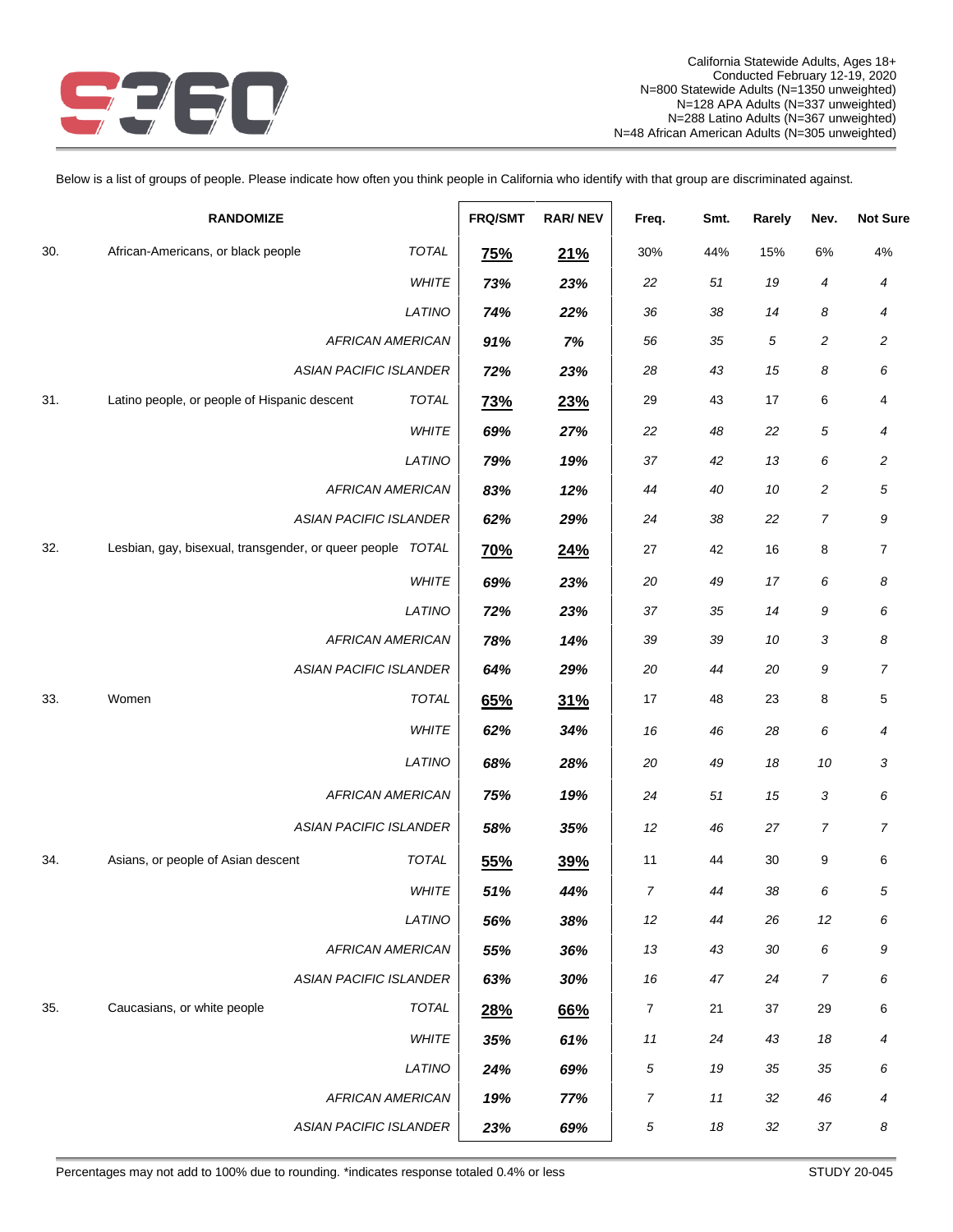

Below is a list of groups of people. Please indicate how often you think people in California who identify with that group are discriminated against.

| <b>RANDOMIZE</b>                                                    | <b>FRQ/SMT</b> | <b>RAR/NEV</b> | Freq.            | Smt.   | Rarely | Nev.             | <b>Not Sure</b> |
|---------------------------------------------------------------------|----------------|----------------|------------------|--------|--------|------------------|-----------------|
| <b>TOTAL</b><br>30.<br>African-Americans, or black people           | <u>75%</u>     | 21%            | 30%              | 44%    | 15%    | $6\%$            | $4\%$           |
| WHITE                                                               | 73%            | 23%            | 22               | $51\,$ | 19     | 4                | 4               |
| LATINO                                                              | 74%            | 22%            | 36               | 38     | 14     | 8                | 4               |
| <b>AFRICAN AMERICAN</b>                                             | 91%            | 7%             | 56               | 35     | 5      | 2                | $\overline{c}$  |
| <b>ASIAN PACIFIC ISLANDER</b>                                       | 72%            | 23%            | 28               | 43     | 15     | 8                | 6               |
| <b>TOTAL</b><br>31.<br>Latino people, or people of Hispanic descent | <b>73%</b>     | 23%            | 29               | 43     | 17     | 6                | 4               |
| WHITE                                                               | 69%            | 27%            | 22               | 48     | 22     | $\sqrt{5}$       | 4               |
| LATINO                                                              | 79%            | 19%            | 37               | 42     | 13     | 6                | 2               |
| <b>AFRICAN AMERICAN</b>                                             | 83%            | 12%            | 44               | 40     | 10     | $\boldsymbol{2}$ | 5               |
| ASIAN PACIFIC ISLANDER                                              | 62%            | 29%            | 24               | 38     | 22     | 7                | 9               |
| Lesbian, gay, bisexual, transgender, or queer people TOTAL<br>32.   | <u>70%</u>     | 24%            | 27               | 42     | 16     | 8                | 7               |
| WHITE                                                               | 69%            | 23%            | 20               | 49     | 17     | 6                | 8               |
| LATINO                                                              | 72%            | 23%            | 37               | 35     | 14     | 9                | 6               |
| <b>AFRICAN AMERICAN</b>                                             | 78%            | 14%            | 39               | 39     | 10     | 3                | 8               |
| <b>ASIAN PACIFIC ISLANDER</b>                                       | 64%            | 29%            | 20               | 44     | 20     | 9                | 7               |
| Women<br><b>TOTAL</b><br>33.                                        | 65%            | 31%            | $17$             | 48     | 23     | 8                | 5               |
| WHITE                                                               | 62%            | 34%            | 16               | 46     | 28     | 6                | 4               |
| LATINO                                                              | 68%            | 28%            | 20               | 49     | 18     | 10               | 3               |
| <b>AFRICAN AMERICAN</b>                                             | 75%            | 19%            | 24               | 51     | 15     | 3                | 6               |
| <b>ASIAN PACIFIC ISLANDER</b>                                       | 58%            | 35%            | 12               | 46     | 27     | 7                | $\overline{7}$  |
| TOTAL<br>34.<br>Asians, or people of Asian descent                  | 55%            | 39%            | 11               | 44     | 30     | 9                | 6               |
| WHITE                                                               | 51%            | 44%            | $\boldsymbol{7}$ | 44     | 38     | 6                | 5               |
| LATINO                                                              | 56%            | 38%            | 12               | 44     | 26     | 12               | 6               |
| <b>AFRICAN AMERICAN</b>                                             | 55%            | 36%            | 13               | 43     | 30     | 6                | 9               |
| <b>ASIAN PACIFIC ISLANDER</b>                                       | 63%            | 30%            | 16               | 47     | 24     | $\overline{7}$   | 6               |
| 35.<br>Caucasians, or white people<br><b>TOTAL</b>                  | 28%            | 66%            | $\overline{7}$   | 21     | 37     | 29               | 6               |
| WHITE                                                               | 35%            | 61%            | 11               | 24     | 43     | 18               | 4               |
| LATINO                                                              | 24%            | 69%            | 5                | 19     | 35     | 35               | 6               |
| <b>AFRICAN AMERICAN</b>                                             | 19%            | 77%            | $\overline{7}$   | 11     | 32     | 46               | 4               |
| <b>ASIAN PACIFIC ISLANDER</b>                                       | 23%            | 69%            | 5                | 18     | 32     | 37               | 8               |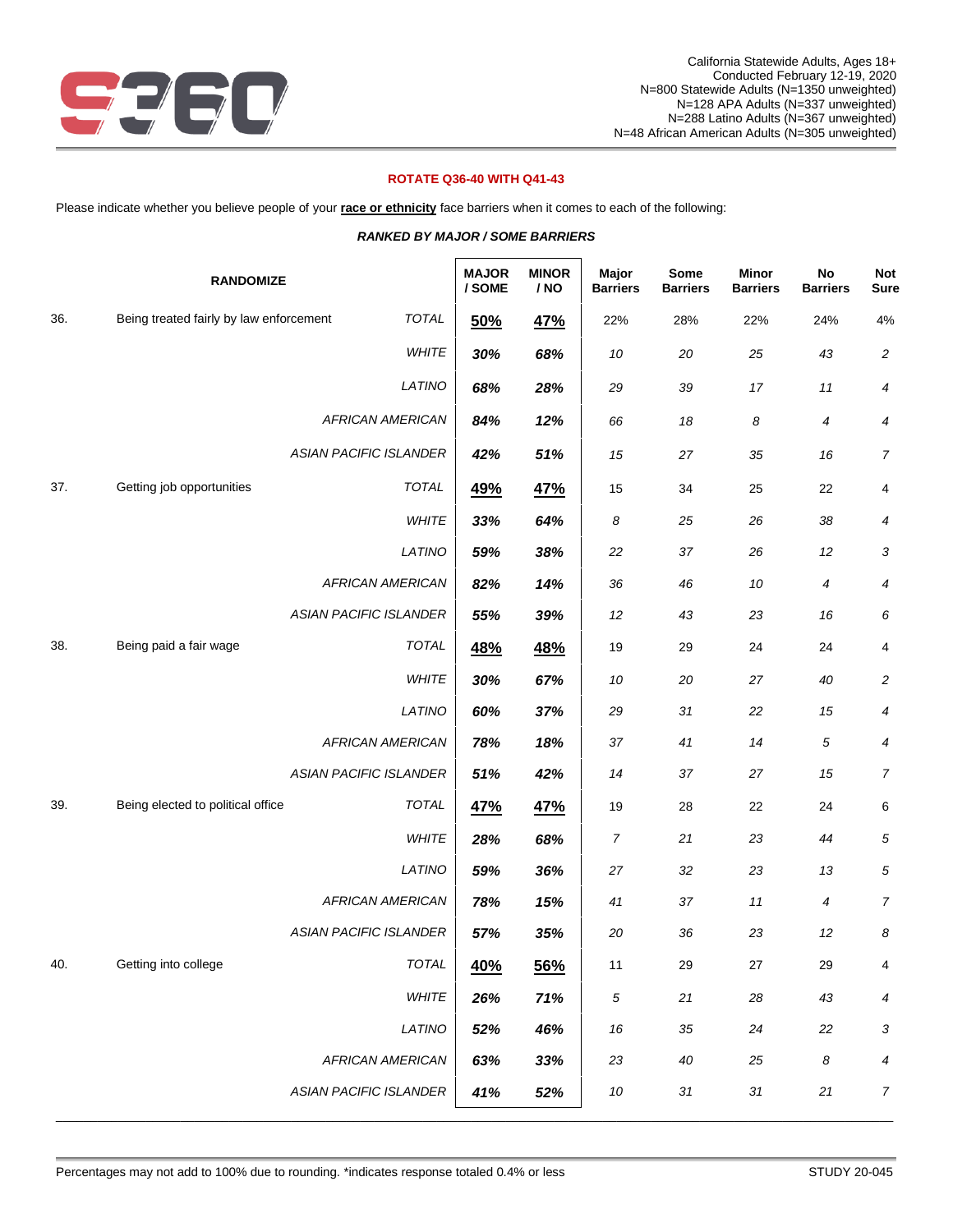

# **ROTATE Q36-40 WITH Q41-43**

Please indicate whether you believe people of your **race or ethnicity** face barriers when it comes to each of the following:

|     | <b>RANDOMIZE</b>                        |                               | <b>MAJOR</b><br>/ SOME | <b>MINOR</b><br>/ NO | Major<br><b>Barriers</b> | Some<br><b>Barriers</b> | <b>Minor</b><br><b>Barriers</b> | No<br><b>Barriers</b> | <b>Not</b><br><b>Sure</b> |
|-----|-----------------------------------------|-------------------------------|------------------------|----------------------|--------------------------|-------------------------|---------------------------------|-----------------------|---------------------------|
| 36. | Being treated fairly by law enforcement | <b>TOTAL</b>                  | 50%                    | 47%                  | 22%                      | 28%                     | 22%                             | 24%                   | $4\%$                     |
|     |                                         | WHITE                         | 30%                    | 68%                  | 10                       | 20                      | 25                              | 43                    | $\sqrt{2}$                |
|     |                                         | LATINO                        | 68%                    | 28%                  | 29                       | 39                      | $17$                            | $11$                  | 4                         |
|     |                                         | <b>AFRICAN AMERICAN</b>       | 84%                    | 12%                  | 66                       | 18                      | 8                               | 4                     | $\boldsymbol{4}$          |
|     |                                         | <b>ASIAN PACIFIC ISLANDER</b> | 42%                    | 51%                  | 15                       | 27                      | 35                              | 16                    | $\overline{7}$            |
| 37. | Getting job opportunities               | <b>TOTAL</b>                  | 49%                    | 47%                  | 15                       | 34                      | 25                              | 22                    | 4                         |
|     |                                         | WHITE                         | 33%                    | 64%                  | 8                        | 25                      | 26                              | 38                    | $\boldsymbol{4}$          |
|     |                                         | LATINO                        | 59%                    | 38%                  | 22                       | 37                      | 26                              | 12                    | 3                         |
|     |                                         | <b>AFRICAN AMERICAN</b>       | 82%                    | 14%                  | 36                       | 46                      | 10                              | 4                     | 4                         |
|     |                                         | <b>ASIAN PACIFIC ISLANDER</b> | 55%                    | 39%                  | 12                       | 43                      | 23                              | 16                    | 6                         |
| 38. | Being paid a fair wage                  | <b>TOTAL</b>                  | <u>48%</u>             | 48%                  | 19                       | 29                      | 24                              | 24                    | 4                         |
|     |                                         | WHITE                         | 30%                    | 67%                  | 10                       | 20                      | 27                              | 40                    | 2                         |
|     |                                         | LATINO                        | 60%                    | 37%                  | 29                       | 31                      | 22                              | 15                    | 4                         |
|     |                                         | <b>AFRICAN AMERICAN</b>       | 78%                    | 18%                  | 37                       | 41                      | 14                              | $\sqrt{5}$            | $\boldsymbol{4}$          |
|     |                                         | <b>ASIAN PACIFIC ISLANDER</b> | 51%                    | 42%                  | 14                       | 37                      | 27                              | 15                    | $\boldsymbol{7}$          |
| 39. | Being elected to political office       | <b>TOTAL</b>                  | 47%                    | <b>47%</b>           | 19                       | 28                      | 22                              | 24                    | 6                         |
|     |                                         | WHITE                         | 28%                    | 68%                  | 7                        | 21                      | 23                              | 44                    | 5                         |
|     |                                         | LATINO                        | 59%                    | 36%                  | 27                       | 32                      | 23                              | 13                    | $\sqrt{5}$                |
|     |                                         | <b>AFRICAN AMERICAN</b>       | 78%                    | 15%                  | 41                       | 37                      | 11                              | 4                     | $\overline{7}$            |
|     |                                         | <b>ASIAN PACIFIC ISLANDER</b> | 57%                    | 35%                  | 20                       | 36                      | 23                              | 12                    | 8                         |
| 40. | Getting into college                    | TOTAL                         | 40%                    | 56%                  | 11                       | 29                      | $27\,$                          | 29                    | 4                         |
|     |                                         | WHITE                         | 26%                    | 71%                  | 5                        | $21$                    | 28                              | 43                    | 4                         |
|     |                                         | LATINO                        | 52%                    | 46%                  | 16                       | 35                      | 24                              | 22                    | 3                         |
|     |                                         | <b>AFRICAN AMERICAN</b>       | 63%                    | 33%                  | 23                       | 40                      | 25                              | 8                     | 4                         |
|     |                                         | <b>ASIAN PACIFIC ISLANDER</b> | 41%                    | 52%                  | $10\,$                   | $31\,$                  | $31\,$                          | $21$                  | $\overline{7}$            |

\_\_\_\_\_\_\_\_\_\_\_\_\_\_\_\_\_\_\_\_\_\_\_\_\_\_\_\_\_\_\_\_\_\_\_\_\_\_\_\_\_\_\_\_\_\_\_\_\_\_\_\_\_\_\_\_\_\_\_\_\_\_\_\_\_\_\_\_\_\_\_\_\_\_\_\_\_\_\_\_\_\_\_\_\_\_\_\_\_\_\_\_\_\_\_\_\_\_\_\_\_\_\_\_\_\_\_\_\_\_\_\_\_\_\_\_\_\_\_\_\_

### *RANKED BY MAJOR / SOME BARRIERS*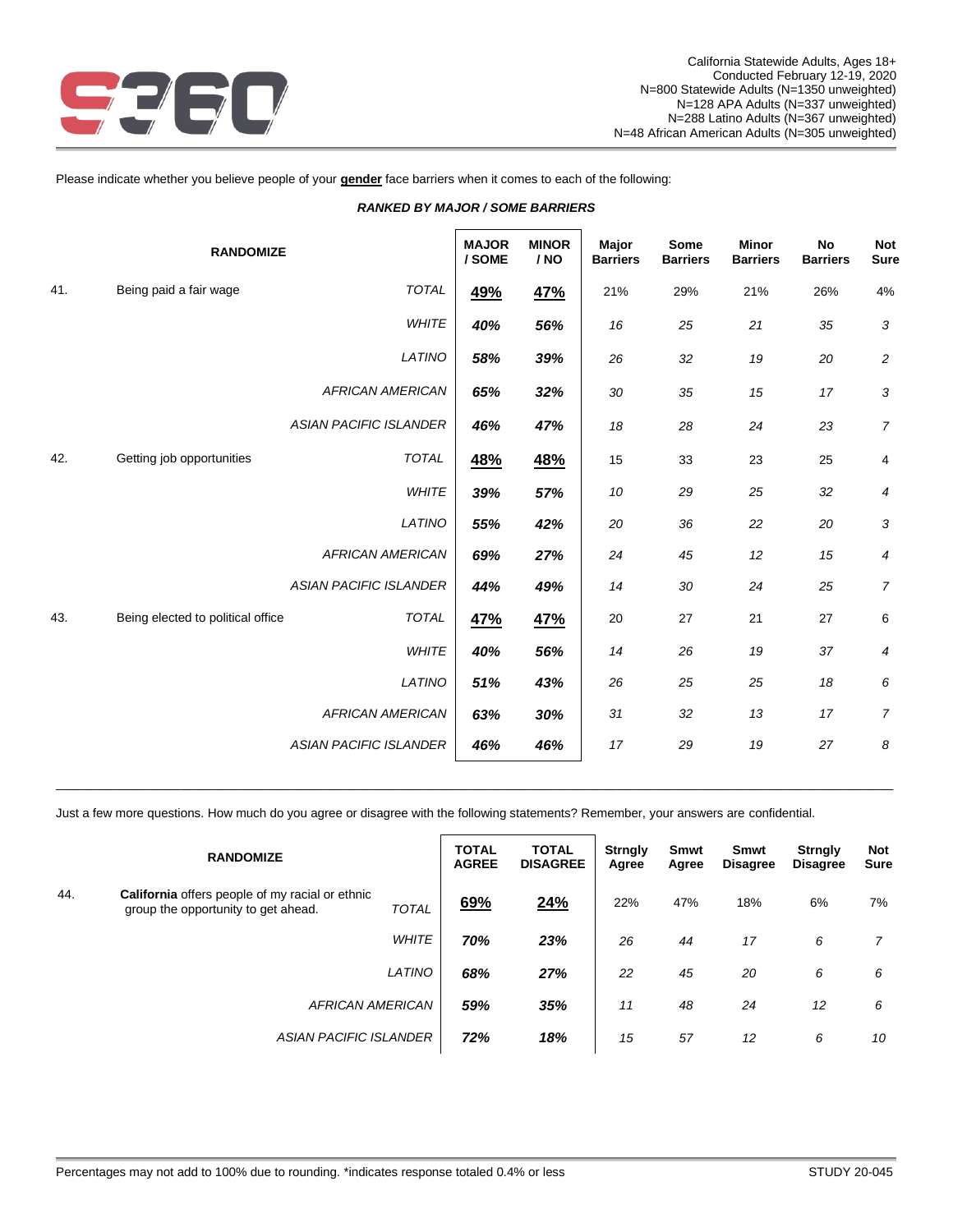

### Please indicate whether you believe people of your **gender** face barriers when it comes to each of the following:

| <b>MINOR</b><br><b>Minor</b><br><b>MAJOR</b><br><b>Major</b><br>Some<br><b>No</b><br><b>RANDOMIZE</b><br>/ SOME<br>/ NO<br><b>Barriers</b><br><b>Barriers</b><br><b>Barriers</b><br><b>Barriers</b><br>41.<br>TOTAL<br>Being paid a fair wage<br>49%<br>4%<br>47%<br>21%<br>29%<br>21%<br>26%<br><b>WHITE</b><br>56%<br>40%<br>3<br>16<br>25<br>21<br>35<br>LATINO<br>58%<br>39%<br>26<br>32<br>19<br>20<br>$\overline{c}$<br><b>AFRICAN AMERICAN</b><br>65%<br>32%<br>30<br>35<br>15<br>17<br>3<br><b>ASIAN PACIFIC ISLANDER</b><br>46%<br>47%<br>18<br>28<br>24<br>23<br>$\overline{7}$<br>Getting job opportunities<br><b>TOTAL</b><br>42.<br>48%<br><u>48%</u><br>15<br>33<br>23<br>25<br>$\overline{4}$<br><b>WHITE</b><br>39%<br>57%<br>32<br>10<br>29<br>25<br>4<br>LATINO<br>3<br>20<br>36<br>22<br>20<br>55%<br>42%<br>12<br><b>AFRICAN AMERICAN</b><br>27%<br>24<br>45<br>15<br>69%<br>4<br><b>ASIAN PACIFIC ISLANDER</b><br>24<br>25<br>$\overline{7}$<br>44%<br>49%<br>14<br>30<br><b>TOTAL</b><br>43.<br>Being elected to political office<br>47%<br>47%<br>20<br>27<br>21<br>27<br>6<br>26<br>19<br>37<br><b>WHITE</b><br>40%<br>56%<br>14<br>4<br>LATINO<br>26<br>25<br>25<br>18<br>6<br>51%<br>43%<br><b>AFRICAN AMERICAN</b><br>63%<br>30%<br>17<br>$\overline{7}$<br>31<br>32<br>13<br><b>ASIAN PACIFIC ISLANDER</b><br>19<br>27<br>8<br>17<br>29<br>46%<br>46% |  |  |  |  |                           |
|-----------------------------------------------------------------------------------------------------------------------------------------------------------------------------------------------------------------------------------------------------------------------------------------------------------------------------------------------------------------------------------------------------------------------------------------------------------------------------------------------------------------------------------------------------------------------------------------------------------------------------------------------------------------------------------------------------------------------------------------------------------------------------------------------------------------------------------------------------------------------------------------------------------------------------------------------------------------------------------------------------------------------------------------------------------------------------------------------------------------------------------------------------------------------------------------------------------------------------------------------------------------------------------------------------------------------------------------------------------------------------------|--|--|--|--|---------------------------|
|                                                                                                                                                                                                                                                                                                                                                                                                                                                                                                                                                                                                                                                                                                                                                                                                                                                                                                                                                                                                                                                                                                                                                                                                                                                                                                                                                                                   |  |  |  |  | <b>Not</b><br><b>Sure</b> |
|                                                                                                                                                                                                                                                                                                                                                                                                                                                                                                                                                                                                                                                                                                                                                                                                                                                                                                                                                                                                                                                                                                                                                                                                                                                                                                                                                                                   |  |  |  |  |                           |
|                                                                                                                                                                                                                                                                                                                                                                                                                                                                                                                                                                                                                                                                                                                                                                                                                                                                                                                                                                                                                                                                                                                                                                                                                                                                                                                                                                                   |  |  |  |  |                           |
|                                                                                                                                                                                                                                                                                                                                                                                                                                                                                                                                                                                                                                                                                                                                                                                                                                                                                                                                                                                                                                                                                                                                                                                                                                                                                                                                                                                   |  |  |  |  |                           |
|                                                                                                                                                                                                                                                                                                                                                                                                                                                                                                                                                                                                                                                                                                                                                                                                                                                                                                                                                                                                                                                                                                                                                                                                                                                                                                                                                                                   |  |  |  |  |                           |
|                                                                                                                                                                                                                                                                                                                                                                                                                                                                                                                                                                                                                                                                                                                                                                                                                                                                                                                                                                                                                                                                                                                                                                                                                                                                                                                                                                                   |  |  |  |  |                           |
|                                                                                                                                                                                                                                                                                                                                                                                                                                                                                                                                                                                                                                                                                                                                                                                                                                                                                                                                                                                                                                                                                                                                                                                                                                                                                                                                                                                   |  |  |  |  |                           |
|                                                                                                                                                                                                                                                                                                                                                                                                                                                                                                                                                                                                                                                                                                                                                                                                                                                                                                                                                                                                                                                                                                                                                                                                                                                                                                                                                                                   |  |  |  |  |                           |
|                                                                                                                                                                                                                                                                                                                                                                                                                                                                                                                                                                                                                                                                                                                                                                                                                                                                                                                                                                                                                                                                                                                                                                                                                                                                                                                                                                                   |  |  |  |  |                           |
|                                                                                                                                                                                                                                                                                                                                                                                                                                                                                                                                                                                                                                                                                                                                                                                                                                                                                                                                                                                                                                                                                                                                                                                                                                                                                                                                                                                   |  |  |  |  |                           |
|                                                                                                                                                                                                                                                                                                                                                                                                                                                                                                                                                                                                                                                                                                                                                                                                                                                                                                                                                                                                                                                                                                                                                                                                                                                                                                                                                                                   |  |  |  |  |                           |
|                                                                                                                                                                                                                                                                                                                                                                                                                                                                                                                                                                                                                                                                                                                                                                                                                                                                                                                                                                                                                                                                                                                                                                                                                                                                                                                                                                                   |  |  |  |  |                           |
|                                                                                                                                                                                                                                                                                                                                                                                                                                                                                                                                                                                                                                                                                                                                                                                                                                                                                                                                                                                                                                                                                                                                                                                                                                                                                                                                                                                   |  |  |  |  |                           |
|                                                                                                                                                                                                                                                                                                                                                                                                                                                                                                                                                                                                                                                                                                                                                                                                                                                                                                                                                                                                                                                                                                                                                                                                                                                                                                                                                                                   |  |  |  |  |                           |
|                                                                                                                                                                                                                                                                                                                                                                                                                                                                                                                                                                                                                                                                                                                                                                                                                                                                                                                                                                                                                                                                                                                                                                                                                                                                                                                                                                                   |  |  |  |  |                           |
|                                                                                                                                                                                                                                                                                                                                                                                                                                                                                                                                                                                                                                                                                                                                                                                                                                                                                                                                                                                                                                                                                                                                                                                                                                                                                                                                                                                   |  |  |  |  |                           |

### *RANKED BY MAJOR / SOME BARRIERS*

Just a few more questions. How much do you agree or disagree with the following statements? Remember, your answers are confidential.

|     | <b>RANDOMIZE</b>                                                                       |              | <b>TOTAL</b><br><b>AGREE</b> | <b>TOTAL</b><br><b>DISAGREE</b> | <b>Strngly</b><br>Agree | <b>Smwt</b><br>Agree | <b>Smwt</b><br><b>Disagree</b> | <b>Strngly</b><br>Disagree | <b>Not</b><br><b>Sure</b> |
|-----|----------------------------------------------------------------------------------------|--------------|------------------------------|---------------------------------|-------------------------|----------------------|--------------------------------|----------------------------|---------------------------|
| 44. | California offers people of my racial or ethnic<br>group the opportunity to get ahead. | <b>TOTAL</b> | 69%                          | 24%                             | 22%                     | 47%                  | 18%                            | 6%                         | 7%                        |
|     |                                                                                        | <b>WHITE</b> | 70%                          | 23%                             | 26                      | 44                   | 17                             | 6                          | 7                         |
|     |                                                                                        | LATINO       | 68%                          | 27%                             | 22                      | 45                   | 20                             | 6                          | 6                         |
|     | <b>AFRICAN AMERICAN</b>                                                                |              | 59%                          | 35%                             | 11                      | 48                   | 24                             | 12                         | 6                         |
|     | <b>ASIAN PACIFIC ISLANDER</b>                                                          |              | 72%                          | 18%                             | 15                      | 57                   | 12                             | 6                          | 10                        |

\_\_\_\_\_\_\_\_\_\_\_\_\_\_\_\_\_\_\_\_\_\_\_\_\_\_\_\_\_\_\_\_\_\_\_\_\_\_\_\_\_\_\_\_\_\_\_\_\_\_\_\_\_\_\_\_\_\_\_\_\_\_\_\_\_\_\_\_\_\_\_\_\_\_\_\_\_\_\_\_\_\_\_\_\_\_\_\_\_\_\_\_\_\_\_\_\_\_\_\_\_\_\_\_\_\_\_\_\_\_\_\_\_\_\_\_\_\_\_\_\_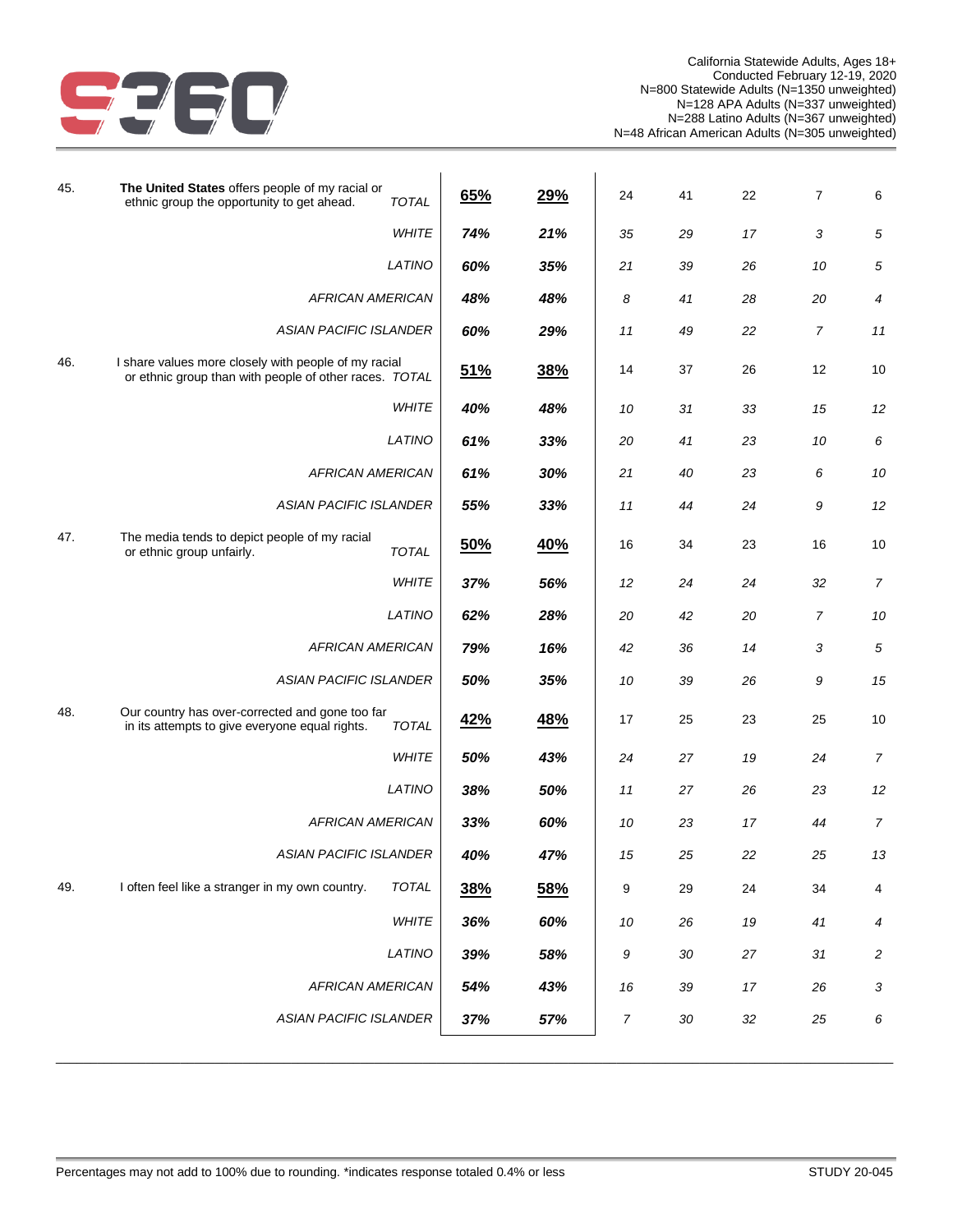

| 45. | The United States offers people of my racial or<br>ethnic group the opportunity to get ahead.<br><b>TOTAL</b>     | 65%        | 29% | 24 | 41     | 22 | 7              | 6                       |
|-----|-------------------------------------------------------------------------------------------------------------------|------------|-----|----|--------|----|----------------|-------------------------|
|     | <b>WHITE</b>                                                                                                      | 74%        | 21% | 35 | 29     | 17 | $\sqrt{3}$     | $\sqrt{5}$              |
|     | LATINO                                                                                                            | 60%        | 35% | 21 | 39     | 26 | 10             | $\sqrt{5}$              |
|     | <b>AFRICAN AMERICAN</b>                                                                                           | 48%        | 48% | 8  | 41     | 28 | 20             | 4                       |
|     | <b>ASIAN PACIFIC ISLANDER</b>                                                                                     | 60%        | 29% | 11 | 49     | 22 | $\overline{7}$ | 11                      |
| 46. | I share values more closely with people of my racial<br>or ethnic group than with people of other races. TOTAL    | 51%        | 38% | 14 | 37     | 26 | 12             | 10                      |
|     | <b>WHITE</b>                                                                                                      | 40%        | 48% | 10 | 31     | 33 | 15             | 12                      |
|     | LATINO                                                                                                            | 61%        | 33% | 20 | 41     | 23 | 10             | 6                       |
|     | <b>AFRICAN AMERICAN</b>                                                                                           | 61%        | 30% | 21 | 40     | 23 | 6              | 10                      |
|     | ASIAN PACIFIC ISLANDER                                                                                            | 55%        | 33% | 11 | 44     | 24 | 9              | 12                      |
| 47. | The media tends to depict people of my racial<br>or ethnic group unfairly.<br>TOTAL                               | 50%        | 40% | 16 | 34     | 23 | 16             | 10                      |
|     | WHITE                                                                                                             | 37%        | 56% | 12 | 24     | 24 | 32             | $\overline{7}$          |
|     | LATINO                                                                                                            | 62%        | 28% | 20 | 42     | 20 | $\overline{7}$ | 10                      |
|     | <b>AFRICAN AMERICAN</b>                                                                                           | 79%        | 16% | 42 | 36     | 14 | $\sqrt{3}$     | 5                       |
|     | ASIAN PACIFIC ISLANDER                                                                                            | 50%        | 35% | 10 | 39     | 26 | 9              | 15                      |
| 48. | Our country has over-corrected and gone too far<br>in its attempts to give everyone equal rights.<br><b>TOTAL</b> | <u>42%</u> | 48% | 17 | 25     | 23 | 25             | 10                      |
|     | WHITE                                                                                                             | 50%        | 43% | 24 | 27     | 19 | 24             | $\overline{7}$          |
|     | LATINO                                                                                                            | 38%        | 50% | 11 | 27     | 26 | 23             | 12                      |
|     | <b>AFRICAN AMERICAN</b>                                                                                           | 33%        | 60% | 10 | 23     | 17 | 44             | $\overline{7}$          |
|     | ASIAN PACIFIC ISLANDER                                                                                            | 40%        | 47% | 15 | 25     | 22 | 25             | 13                      |
| 49. | TOTAL<br>I often feel like a stranger in my own country.                                                          | 38%        | 58% | 9  | 29     | 24 | 34             | 4                       |
|     | WHITE                                                                                                             | 36%        | 60% | 10 | 26     | 19 | 41             | 4                       |
|     | LATINO                                                                                                            | 39%        | 58% | 9  | $30\,$ | 27 | 31             | $\overline{\mathbf{c}}$ |
|     | <b>AFRICAN AMERICAN</b>                                                                                           | 54%        | 43% | 16 | 39     | 17 | 26             | 3                       |
|     | <b>ASIAN PACIFIC ISLANDER</b>                                                                                     | 37%        | 57% | 7  | $30\,$ | 32 | 25             | 6                       |
|     |                                                                                                                   |            |     |    |        |    |                |                         |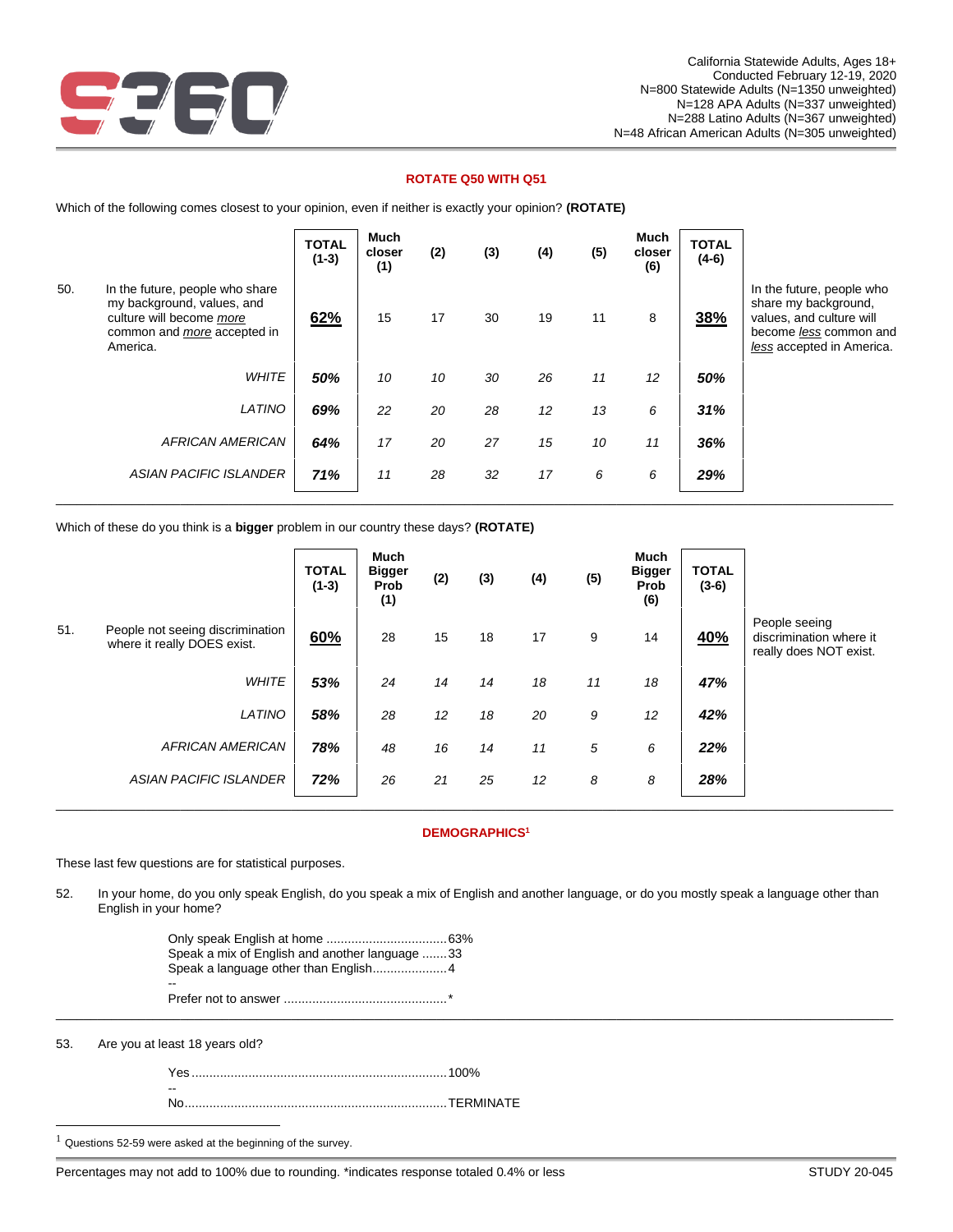

## **ROTATE Q50 WITH Q51**

Which of the following comes closest to your opinion, even if neither is exactly your opinion? **(ROTATE)**

|     |                                                                                                                                             | <b>TOTAL</b><br>$(1-3)$ | Much<br>closer<br>(1) | (2) | (3) | (4) | (5) | <b>Much</b><br>closer<br>(6) | <b>TOTAL</b><br>$(4-6)$ |                                                                                                                                      |
|-----|---------------------------------------------------------------------------------------------------------------------------------------------|-------------------------|-----------------------|-----|-----|-----|-----|------------------------------|-------------------------|--------------------------------------------------------------------------------------------------------------------------------------|
| 50. | In the future, people who share<br>my background, values, and<br>culture will become more<br>common and <i>more</i> accepted in<br>America. | 62%                     | 15                    | 17  | 30  | 19  | 11  | 8                            | 38%                     | In the future, people who<br>share my background,<br>values, and culture will<br>become less common and<br>less accepted in America. |
|     | <b>WHITE</b>                                                                                                                                | 50%                     | 10                    | 10  | 30  | 26  | 11  | 12                           | 50%                     |                                                                                                                                      |
|     | LATINO                                                                                                                                      | 69%                     | 22                    | 20  | 28  | 12  | 13  | 6                            | 31%                     |                                                                                                                                      |
|     | <b>AFRICAN AMERICAN</b>                                                                                                                     | 64%                     | 17                    | 20  | 27  | 15  | 10  | 11                           | 36%                     |                                                                                                                                      |
|     | <b>ASIAN PACIFIC ISLANDER</b>                                                                                                               | 71%                     | 11                    | 28  | 32  | 17  | 6   | 6                            | 29%                     |                                                                                                                                      |

Which of these do you think is a **bigger** problem in our country these days? **(ROTATE)**

|     |                                                                 | <b>TOTAL</b><br>$(1-3)$ | Much<br><b>Bigger</b><br>Prob<br>(1) | (2) | (3) | (4) | (5) | <b>Much</b><br><b>Bigger</b><br>Prob<br>(6) | <b>TOTAL</b><br>$(3-6)$ |                                                                    |
|-----|-----------------------------------------------------------------|-------------------------|--------------------------------------|-----|-----|-----|-----|---------------------------------------------|-------------------------|--------------------------------------------------------------------|
| 51. | People not seeing discrimination<br>where it really DOES exist. | 60%                     | 28                                   | 15  | 18  | 17  | 9   | 14                                          | <b>40%</b>              | People seeing<br>discrimination where it<br>really does NOT exist. |
|     | <b>WHITE</b>                                                    | 53%                     | 24                                   | 14  | 14  | 18  | 11  | 18                                          | 47%                     |                                                                    |
|     | LATINO                                                          | 58%                     | 28                                   | 12  | 18  | 20  | 9   | 12                                          | 42%                     |                                                                    |
|     | <b>AFRICAN AMERICAN</b>                                         | 78%                     | 48                                   | 16  | 14  | 11  | 5   | 6                                           | 22%                     |                                                                    |
|     | <b>ASIAN PACIFIC ISLANDER</b>                                   | 72%                     | 26                                   | 21  | 25  | 12  | 8   | 8                                           | 28%                     |                                                                    |

#### **DEMOGRAPHICS<sup>1</sup>**

These last few questions are for statistical purposes.

52. In your home, do you only speak English, do you speak a mix of English and another language, or do you mostly speak a language other than English in your home?

\_\_\_\_\_\_\_\_\_\_\_\_\_\_\_\_\_\_\_\_\_\_\_\_\_\_\_\_\_\_\_\_\_\_\_\_\_\_\_\_\_\_\_\_\_\_\_\_\_\_\_\_\_\_\_\_\_\_\_\_\_\_\_\_\_\_\_\_\_\_\_\_\_\_\_\_\_\_\_\_\_\_\_\_\_\_\_\_\_\_\_\_\_\_\_\_\_\_\_\_\_\_\_\_\_\_\_\_\_\_\_\_\_\_\_\_\_\_\_\_\_

| Speak a mix of English and another language 33 |   |
|------------------------------------------------|---|
|                                                | ÷ |

53. Are you at least 18 years old?

| $- -$ |  |
|-------|--|
|       |  |

 $1$  Questions 52-59 were asked at the beginning of the survey.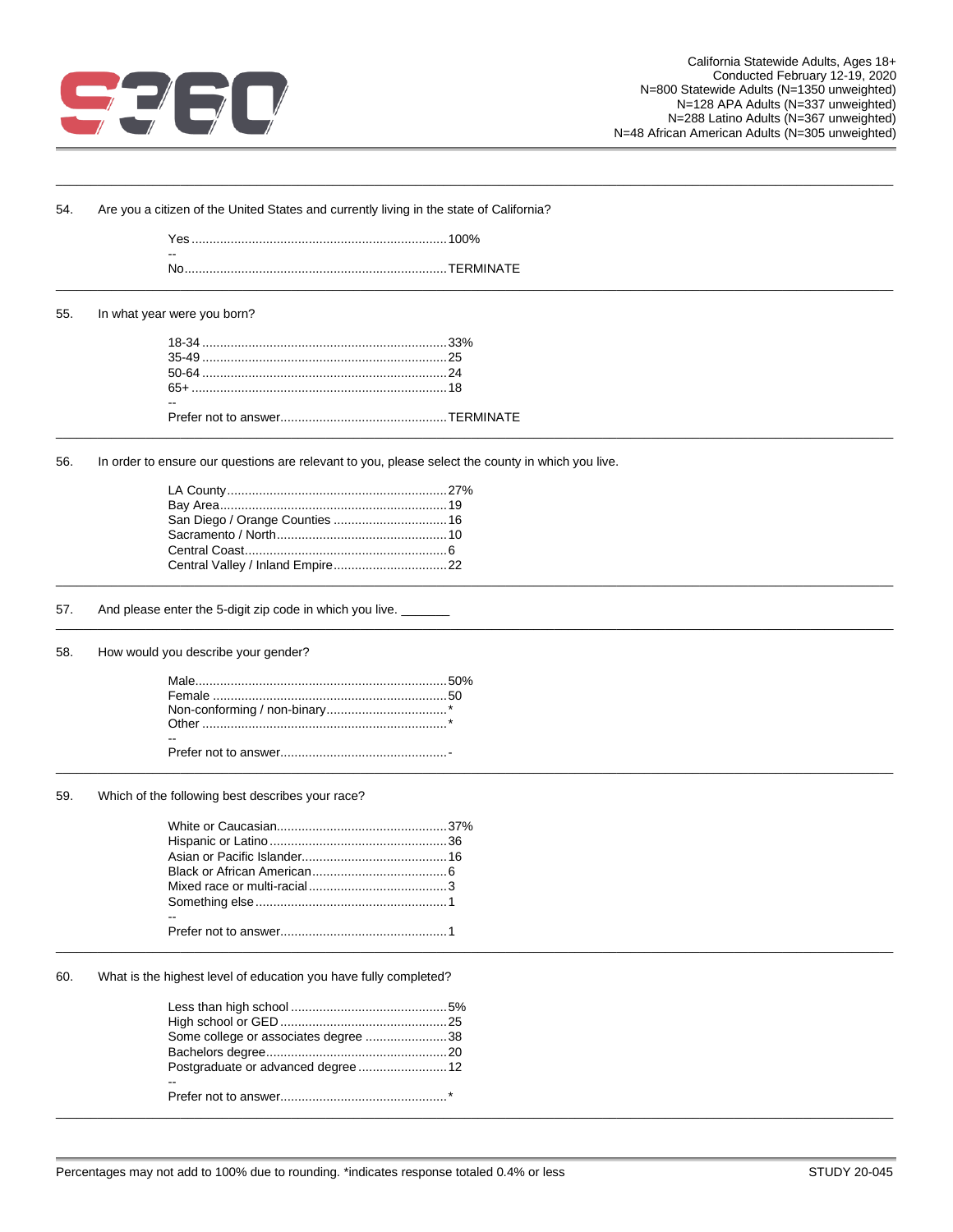

| 54. | Are you a citizen of the United States and currently living in the state of California?           |  |  |  |  |  |
|-----|---------------------------------------------------------------------------------------------------|--|--|--|--|--|
|     |                                                                                                   |  |  |  |  |  |
|     |                                                                                                   |  |  |  |  |  |
| 55. | In what year were you born?                                                                       |  |  |  |  |  |
|     |                                                                                                   |  |  |  |  |  |
|     |                                                                                                   |  |  |  |  |  |
|     |                                                                                                   |  |  |  |  |  |
|     |                                                                                                   |  |  |  |  |  |
|     |                                                                                                   |  |  |  |  |  |
| 56. | In order to ensure our questions are relevant to you, please select the county in which you live. |  |  |  |  |  |
|     |                                                                                                   |  |  |  |  |  |
|     |                                                                                                   |  |  |  |  |  |
|     | San Diego / Orange Counties  16                                                                   |  |  |  |  |  |
|     |                                                                                                   |  |  |  |  |  |
|     |                                                                                                   |  |  |  |  |  |
|     |                                                                                                   |  |  |  |  |  |
| 57. | And please enter the 5-digit zip code in which you live.                                          |  |  |  |  |  |
| 58. | How would you describe your gender?                                                               |  |  |  |  |  |
|     |                                                                                                   |  |  |  |  |  |
|     |                                                                                                   |  |  |  |  |  |
|     |                                                                                                   |  |  |  |  |  |
|     |                                                                                                   |  |  |  |  |  |
|     |                                                                                                   |  |  |  |  |  |
| 59. | Which of the following best describes your race?                                                  |  |  |  |  |  |
|     |                                                                                                   |  |  |  |  |  |
|     |                                                                                                   |  |  |  |  |  |
|     |                                                                                                   |  |  |  |  |  |
|     |                                                                                                   |  |  |  |  |  |
|     |                                                                                                   |  |  |  |  |  |
|     |                                                                                                   |  |  |  |  |  |
|     |                                                                                                   |  |  |  |  |  |
| 60. | What is the highest level of education you have fully completed?                                  |  |  |  |  |  |
|     |                                                                                                   |  |  |  |  |  |
|     |                                                                                                   |  |  |  |  |  |
|     | Some college or associates degree 38                                                              |  |  |  |  |  |
|     |                                                                                                   |  |  |  |  |  |
|     | Postgraduate or advanced degree  12                                                               |  |  |  |  |  |
|     |                                                                                                   |  |  |  |  |  |
|     |                                                                                                   |  |  |  |  |  |
|     |                                                                                                   |  |  |  |  |  |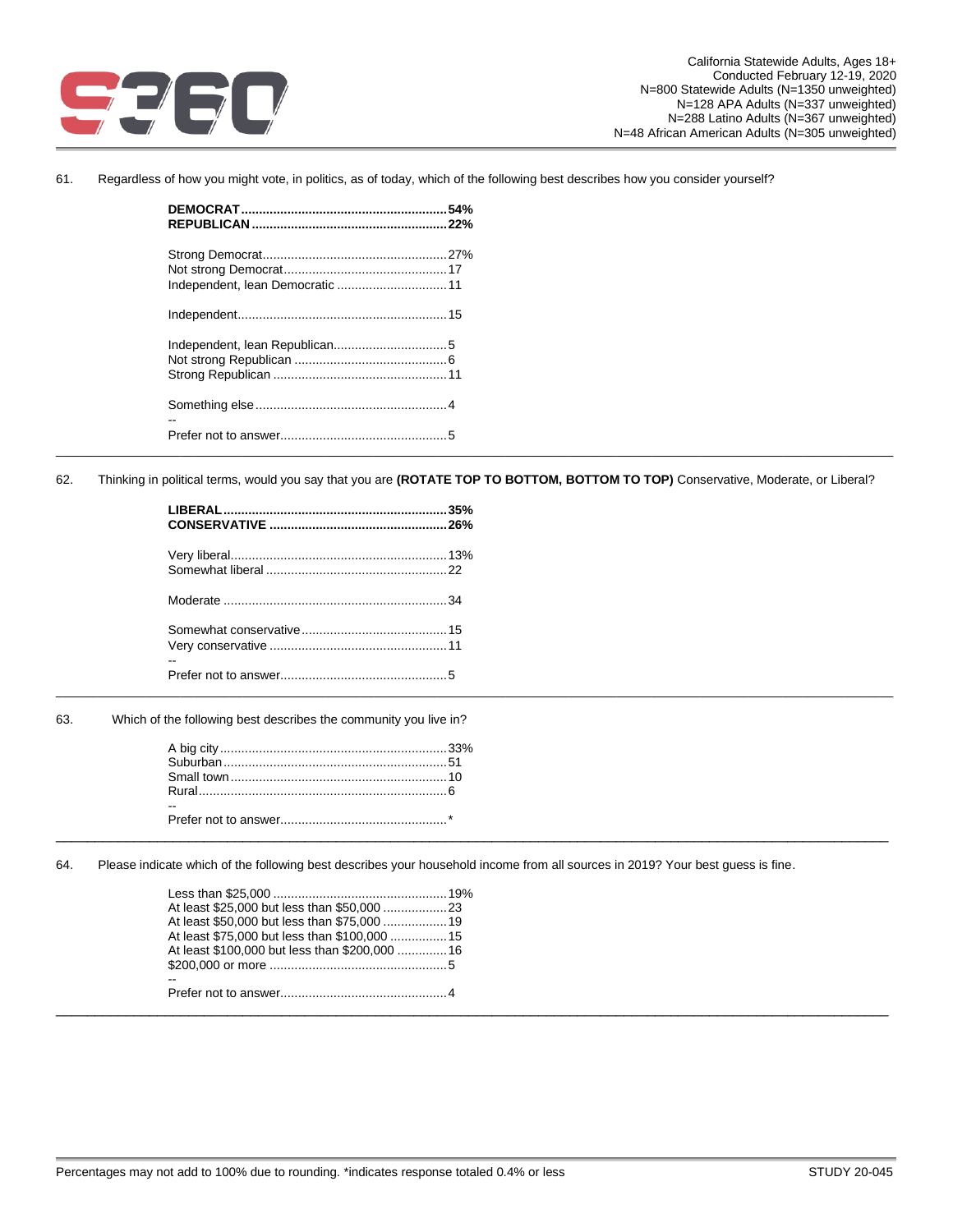

61. Regardless of how you might vote, in politics, as of today, which of the following best describes how you consider yourself?

| Independent, lean Democratic  11 |  |
|----------------------------------|--|
|                                  |  |
|                                  |  |
|                                  |  |
|                                  |  |
|                                  |  |
|                                  |  |
|                                  |  |

62. Thinking in political terms, would you say that you are **(ROTATE TOP TO BOTTOM, BOTTOM TO TOP)** Conservative, Moderate, or Liberal?

\_\_\_\_\_\_\_\_\_\_\_\_\_\_\_\_\_\_\_\_\_\_\_\_\_\_\_\_\_\_\_\_\_\_\_\_\_\_\_\_\_\_\_\_\_\_\_\_\_\_\_\_\_\_\_\_\_\_\_\_\_\_\_\_\_\_\_\_\_\_\_\_\_\_\_\_\_\_\_\_\_\_\_\_\_\_\_\_\_\_\_\_\_\_\_\_\_\_\_\_\_\_\_\_\_\_\_\_\_\_\_\_\_\_\_\_\_\_\_\_\_

| -- |  |
|----|--|
|    |  |

63. Which of the following best describes the community you live in?

64. Please indicate which of the following best describes your household income from all sources in 2019? Your best guess is fine.

\_\_\_\_\_\_\_\_\_\_\_\_\_\_\_\_\_\_\_\_\_\_\_\_\_\_\_\_\_\_\_\_\_\_\_\_\_\_\_\_\_\_\_\_\_\_\_\_\_\_\_\_\_\_\_\_\_\_\_\_\_\_\_\_\_\_\_\_\_\_\_\_\_\_\_\_\_\_\_\_\_\_\_\_\_\_\_\_\_\_\_\_\_\_\_\_\_\_\_\_\_\_\_\_\_\_\_

| At least \$100,000 but less than \$200,000 16 |
|-----------------------------------------------|
|                                               |
| $- -$                                         |
|                                               |
|                                               |